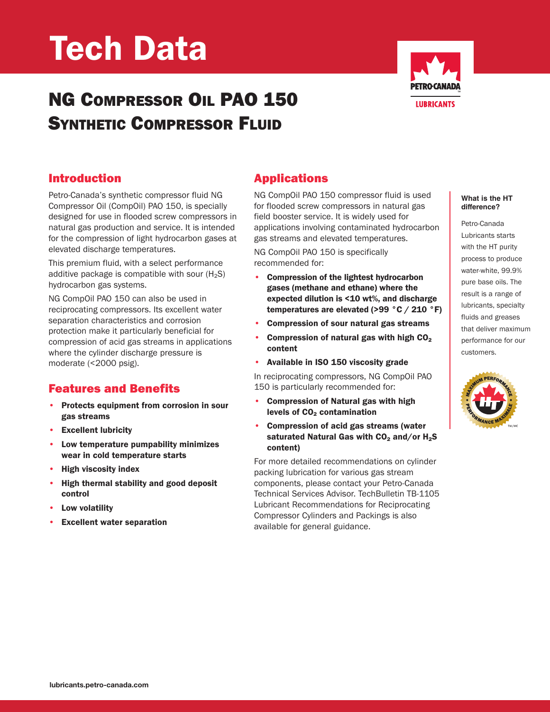# Tech Data

## NG COMPRESSOR OIL PAO 150 SYNTHETIC COMPRESSOR FLUID



#### Introduction

Petro-Canada's synthetic compressor fluid NG Compressor Oil (CompOil) PAO 150, is specially designed for use in flooded screw compressors in natural gas production and service. It is intended for the compression of light hydrocarbon gases at elevated discharge temperatures.

This premium fluid, with a select performance additive package is compatible with sour  $(H_2S)$ hydrocarbon gas systems.

NG CompOil PAO 150 can also be used in reciprocating compressors. Its excellent water separation characteristics and corrosion protection make it particularly beneficial for compression of acid gas streams in applications where the cylinder discharge pressure is moderate (<2000 psig).

#### Features and Benefits

- Protects equipment from corrosion in sour gas streams
- **Excellent lubricity**
- Low temperature pumpability minimizes wear in cold temperature starts
- High viscosity index
- High thermal stability and good deposit control
- Low volatility
- **Excellent water separation**

### Applications

NG CompOil PAO 150 compressor fluid is used for flooded screw compressors in natural gas field booster service. It is widely used for applications involving contaminated hydrocarbon gas streams and elevated temperatures.

NG CompOil PAO 150 is specifically recommended for:

- Compression of the lightest hydrocarbon gases (methane and ethane) where the expected dilution is <10 wt%, and discharge temperatures are elevated (>99 °C / 210 °F)
- Compression of sour natural gas streams
- Compression of natural gas with high  $CO<sub>2</sub>$  content
- Available in ISO 150 viscosity grade

In reciprocating compressors, NG CompOil PAO 150 is particularly recommended for:

- Compression of Natural gas with high levels of CO<sub>2</sub> contamination
- Compression of acid gas streams (water saturated Natural Gas with  $CO<sub>2</sub>$  and/or H<sub>2</sub>S content)

For more detailed recommendations on cylinder packing lubrication for various gas stream components, please contact your Petro-Canada Technical Services Advisor. TechBulletin TB-1105 Lubricant Recommendations for Reciprocating Compressor Cylinders and Packings is also available for general guidance.

#### **What is the HT difference?**

Petro-Canada Lubricants starts with the HT purity process to produce water-white, 99.9% pure base oils. The result is a range of lubricants, specialty fluids and greases that deliver maximum performance for our customers.